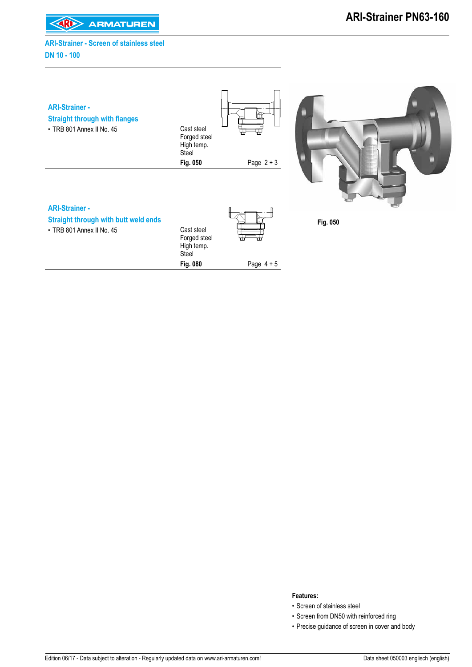**KARI> ARMATUREN** 

#### **ARI-Strainer - Screen of stainless steel DN 10 - 100**

| <b>ARI-Strainer -</b><br><b>Straight through with flanges</b><br>• TRB 801 Annex II No. 45 | Cast steel<br>Forged steel<br>High temp.<br>Steel | Æ.<br>93     |          |
|--------------------------------------------------------------------------------------------|---------------------------------------------------|--------------|----------|
|                                                                                            | Fig. 050                                          | Page $2 + 3$ |          |
| <b>ARI-Strainer -</b>                                                                      |                                                   |              |          |
| <b>Straight through with butt weld ends</b>                                                |                                                   |              | Fig. 050 |
| • TRB 801 Annex II No. 45                                                                  | Cast steel<br>Forged steel<br>High temp.<br>Steel | ⊞<br>╈       |          |
|                                                                                            | Fig. 080                                          | Page $4 + 5$ |          |

#### **Features:**

- Screen of stainless steel
- Screen from DN50 with reinforced ring
- Precise guidance of screen in cover and body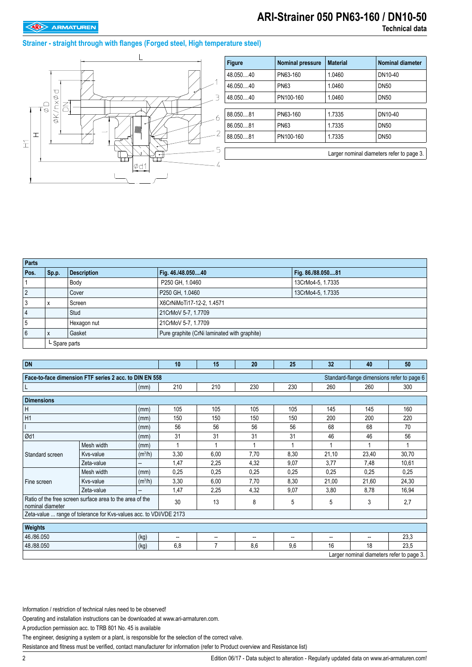## **ARI-Strainer 050 PN63-160 / DN10-50**

#### **Strainer - straight through with flanges (Forged steel, High temperature steel)**



| <b>Figure</b> | <b>Nominal pressure</b> | <b>Material</b> | <b>Nominal diameter</b>                   |
|---------------|-------------------------|-----------------|-------------------------------------------|
| 48.05040      | PN63-160                | 1.0460          | DN10-40                                   |
| 46.05040      | <b>PN63</b>             | 1.0460          | <b>DN50</b>                               |
| 48.05040      | PN100-160               | 1.0460          | <b>DN50</b>                               |
|               |                         |                 |                                           |
| 88.05081      | PN63-160                | 1.7335          | DN10-40                                   |
| 86.05081      | <b>PN63</b>             | 1.7335          | <b>DN50</b>                               |
| 88.05081      | PN100-160               | 1.7335          | <b>DN50</b>                               |
|               |                         |                 |                                           |
|               |                         |                 | Larger nominal diameters refer to page 3. |

| Parts          |               |                    |                                              |                   |  |  |
|----------------|---------------|--------------------|----------------------------------------------|-------------------|--|--|
| Pos.           | Sp.p.         | <b>Description</b> | Fig. 46./48.05040                            | Fig. 86./88.05081 |  |  |
|                |               | Body               | P250 GH, 1.0460                              | 13CrMo4-5, 1.7335 |  |  |
| $\overline{2}$ |               | Cover              | P250 GH, 1.0460                              | 13CrMo4-5, 1.7335 |  |  |
| 3              | X             | Screen             | X6CrNiMoTi17-12-2, 1.4571                    |                   |  |  |
| 4              |               | Stud               | 21CrMoV 5-7, 1.7709                          |                   |  |  |
| 5              |               | Hexagon nut        | 21CrMoV 5-7, 1.7709                          |                   |  |  |
| 6              | X             | Gasket             | Pure graphite (CrNi laminated with graphite) |                   |  |  |
|                | L Spare parts |                    |                                              |                   |  |  |

| <b>DN</b>                                                                    |                                                                    |                     | 10   | 15             | 20   | 25   | 32    | 40                                         | 50    |
|------------------------------------------------------------------------------|--------------------------------------------------------------------|---------------------|------|----------------|------|------|-------|--------------------------------------------|-------|
|                                                                              | Face-to-face dimension FTF series 2 acc. to DIN EN 558             |                     |      |                |      |      |       | Standard-flange dimensions refer to page 6 |       |
| L                                                                            |                                                                    | (mm)                | 210  | 210            | 230  | 230  | 260   | 260                                        | 300   |
| <b>Dimensions</b>                                                            |                                                                    |                     |      |                |      |      |       |                                            |       |
| Η                                                                            |                                                                    | (mm)                | 105  | 105            | 105  | 105  | 145   | 145                                        | 160   |
| H1                                                                           |                                                                    | (mm)                | 150  | 150            | 150  | 150  | 200   | 200                                        | 220   |
|                                                                              |                                                                    | (mm)                | 56   | 56             | 56   | 56   | 68    | 68                                         | 70    |
| Ød1                                                                          |                                                                    | (mm)                | 31   | 31             | 31   | 31   | 46    | 46                                         | 56    |
|                                                                              | Mesh width                                                         | (mm)                |      |                |      |      |       |                                            |       |
| Standard screen                                                              | Kys-value                                                          | (m <sup>3</sup> /h) | 3,30 | 6,00           | 7,70 | 8,30 | 21,10 | 23,40                                      | 30,70 |
|                                                                              | Zeta-value                                                         | --                  | 1,47 | 2.25           | 4,32 | 9,07 | 3,77  | 7,48                                       | 10,61 |
|                                                                              | Mesh width                                                         | (mm)                | 0,25 | 0,25           | 0,25 | 0,25 | 0.25  | 0,25                                       | 0,25  |
| Fine screen                                                                  | Kvs-value                                                          | (m <sup>3</sup> /h) | 3,30 | 6,00           | 7,70 | 8,30 | 21,00 | 21,60                                      | 24,30 |
|                                                                              | Zeta-value                                                         | --                  | 1,47 | 2,25           | 4,32 | 9,07 | 3,80  | 8,78                                       | 16,94 |
| Ratio of the free screen surface area to the area of the<br>nominal diameter |                                                                    |                     | 30   | 13             | 8    | 5    | 5     | 3                                          | 2,7   |
|                                                                              | Zeta-value  range of tolerance for Kvs-values acc. to VDI/VDE 2173 |                     |      |                |      |      |       |                                            |       |
| Weights                                                                      |                                                                    |                     |      |                |      |      |       |                                            |       |
| 46./86.050                                                                   |                                                                    | (kg)                | --   | --             | --   | --   | --    | --                                         | 23,3  |
| 48./88.050                                                                   |                                                                    | (kg)                | 6,8  | $\overline{7}$ | 8,6  | 9,6  | 16    | 18                                         | 23,5  |
|                                                                              |                                                                    |                     |      |                |      |      |       | Larger nominal diameters refer to page 3.  |       |

Information / restriction of technical rules need to be observed!

Operating and installation instructions can be downloaded at www.ari-armaturen.com.

A production permission acc. to TRB 801 No. 45 is available

The engineer, designing a system or a plant, is responsible for the selection of the correct valve.

Resistance and fitness must be verified, contact manufacturer for information (refer to Product overview and Resistance list)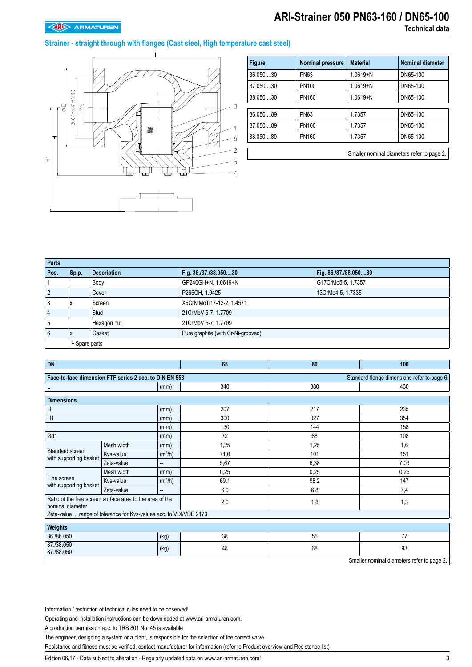### **ARI-Strainer 050 PN63-160 / DN65-100 Technical data**

#### **Strainer - straight through with flanges (Cast steel, High temperature cast steel)**



| <b>Figure</b> | <b>Nominal pressure</b> | <b>Material</b> | <b>Nominal diameter</b> |
|---------------|-------------------------|-----------------|-------------------------|
| 36.05030      | <b>PN63</b>             | $1.0619 + N$    | DN65-100                |
| 37.05030      | PN100                   | $1.0619 + N$    | DN65-100                |
| 38.05030      | <b>PN160</b>            | $1.0619 + N$    | DN65-100                |
|               |                         |                 |                         |
| 86.05089      | <b>PN63</b>             | 1.7357          | DN65-100                |
| 87.05089      | PN100                   | 1.7357          | DN65-100                |
| 88.05089      | <b>PN160</b>            | 1.7357          | DN65-100                |
|               |                         |                 |                         |

Smaller nominal diameters refer to page 2.

| Parts      |               |                    |                                    |                       |  |  |
|------------|---------------|--------------------|------------------------------------|-----------------------|--|--|
| Pos.       | Sp.p.         | <b>Description</b> | Fig. 36./37./38.05030              | Fig. 86./87./88.05089 |  |  |
|            |               | Body               | GP240GH+N, 1.0619+N                | G17CrMo5-5, 1.7357    |  |  |
| $\sqrt{2}$ |               | Cover              | P265GH, 1.0425                     | 13CrMo4-5, 1.7335     |  |  |
| . 3        | x             | Screen             | X6CrNiMoTi17-12-2, 1.4571          |                       |  |  |
| $\vert$ 4  |               | Stud               | 21CrMoV 5-7, 1.7709                |                       |  |  |
| 5          |               | Hexagon nut        | 21CrMoV 5-7, 1.7709                |                       |  |  |
| 6          | X             | Gasket             | Pure graphite (with Cr-Ni-grooved) |                       |  |  |
|            | L Spare parts |                    |                                    |                       |  |  |

| <b>DN</b>                                                                                            |                                                                    |                          | 65   | 80   | 100                                        |  |  |
|------------------------------------------------------------------------------------------------------|--------------------------------------------------------------------|--------------------------|------|------|--------------------------------------------|--|--|
| Standard-flange dimensions refer to page 6<br>Face-to-face dimension FTF series 2 acc. to DIN EN 558 |                                                                    |                          |      |      |                                            |  |  |
|                                                                                                      |                                                                    | (mm)                     | 340  | 380  | 430                                        |  |  |
| <b>Dimensions</b>                                                                                    |                                                                    |                          |      |      |                                            |  |  |
| Η                                                                                                    |                                                                    | (mm)                     | 207  | 217  | 235                                        |  |  |
| H1                                                                                                   |                                                                    | (mm)                     | 300  | 327  | 354                                        |  |  |
|                                                                                                      |                                                                    | (mm)                     | 130  | 144  | 158                                        |  |  |
| Ød1                                                                                                  |                                                                    | (mm)                     | 72   | 88   | 108                                        |  |  |
|                                                                                                      | Mesh width                                                         | (mm)                     | 1,25 | 1,25 | 1,6                                        |  |  |
| Standard screen<br>with supporting basket                                                            | Kvs-value                                                          | (m <sup>3</sup> /h)      | 71,0 | 101  | 151                                        |  |  |
|                                                                                                      | Zeta-value                                                         | $\overline{\phantom{a}}$ | 5,67 | 6,38 | 7,03                                       |  |  |
|                                                                                                      | Mesh width                                                         | (mm)                     | 0,25 | 0,25 | 0,25                                       |  |  |
| Fine screen<br>with supporting basket                                                                | Kvs-value                                                          | (m <sup>3</sup> /h)      | 69,1 | 98,2 | 147                                        |  |  |
|                                                                                                      | Zeta-value                                                         | --                       | 6,0  | 6,8  | 7,4                                        |  |  |
| nominal diameter                                                                                     | Ratio of the free screen surface area to the area of the           |                          | 2,0  | 1,8  | 1,3                                        |  |  |
|                                                                                                      | Zeta-value  range of tolerance for Kvs-values acc. to VDI/VDE 2173 |                          |      |      |                                            |  |  |
| Weights                                                                                              |                                                                    |                          |      |      |                                            |  |  |
| 36./86.050<br>(kg)                                                                                   |                                                                    | 38                       | 56   | 77   |                                            |  |  |
| 37./38.050<br>(kg)<br>87./88.050                                                                     |                                                                    | 48                       | 68   | 93   |                                            |  |  |
|                                                                                                      |                                                                    |                          |      |      | Smaller nominal diameters refer to page 2. |  |  |

Information / restriction of technical rules need to be observed!

Operating and installation instructions can be downloaded at www.ari-armaturen.com.

A production permission acc. to TRB 801 No. 45 is available

The engineer, designing a system or a plant, is responsible for the selection of the correct valve.

Resistance and fitness must be verified, contact manufacturer for information (refer to Product overview and Resistance list)

Edition 06/17 - Data subject to alteration - Regularly updated data on www.ari-armaturen.com!<br>3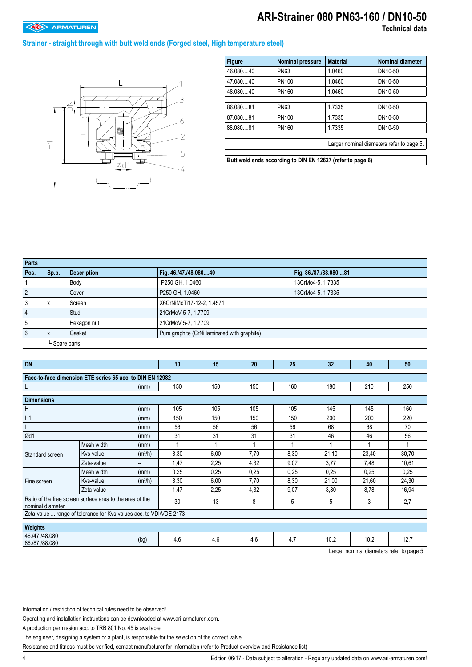## **ARI-Strainer 080 PN63-160 / DN10-50**

#### **Strainer - straight through with butt weld ends (Forged steel, High temperature steel)**



| <b>Figure</b> | <b>Nominal pressure</b> | <b>Material</b> | <b>Nominal diameter</b>                   |
|---------------|-------------------------|-----------------|-------------------------------------------|
| 46.08040      | <b>PN63</b>             | 1.0460          | DN10-50                                   |
| 47.08040      | PN100                   | 1.0460          | DN10-50                                   |
| 48.08040      | PN160                   | 1.0460          | DN10-50                                   |
|               |                         |                 |                                           |
| 86.080.81     | <b>PN63</b>             | 1.7335          | DN10-50                                   |
| 87.080.81     | PN100                   | 1.7335          | DN10-50                                   |
| 88.08081      | PN160                   | 1.7335          | DN10-50                                   |
|               |                         |                 |                                           |
|               |                         |                 | Larger nominal diameters refer to page 5. |
|               |                         |                 |                                           |

**Butt weld ends according to DIN EN 12627 (refer to page 6)**

| Parts |               |                    |                                              |                       |  |  |
|-------|---------------|--------------------|----------------------------------------------|-----------------------|--|--|
| Pos.  | Sp.p.         | <b>Description</b> | Fig. 46./47./48.08040                        | Fig. 86./87./88.08081 |  |  |
|       |               | Body               | P250 GH, 1.0460                              | 13CrMo4-5, 1.7335     |  |  |
|       |               | Cover              | P250 GH, 1.0460                              | 13CrMo4-5, 1.7335     |  |  |
|       |               | Screen             | X6CrNiMoTi17-12-2, 1.4571                    |                       |  |  |
|       |               | Stud               | 21CrMoV 5-7, 1.7709                          |                       |  |  |
|       |               | Hexagon nut        | 21CrMoV 5-7, 1.7709                          |                       |  |  |
| 6     |               | Gasket             | Pure graphite (CrNi laminated with graphite) |                       |  |  |
|       | L Spare parts |                    |                                              |                       |  |  |

| <b>DN</b>                                                                    |                                                           |                     | 10   | 15   | 20   | 25   | 32    | 40                                        | 50    |
|------------------------------------------------------------------------------|-----------------------------------------------------------|---------------------|------|------|------|------|-------|-------------------------------------------|-------|
|                                                                              | Face-to-face dimension ETE series 65 acc. to DIN EN 12982 |                     |      |      |      |      |       |                                           |       |
|                                                                              |                                                           | (mm)                | 150  | 150  | 150  | 160  | 180   | 210                                       | 250   |
| <b>Dimensions</b>                                                            |                                                           |                     |      |      |      |      |       |                                           |       |
| Н                                                                            |                                                           | (mm)                | 105  | 105  | 105  | 105  | 145   | 145                                       | 160   |
| H1                                                                           |                                                           | (mm)                | 150  | 150  | 150  | 150  | 200   | 200                                       | 220   |
|                                                                              |                                                           | (mm)                | 56   | 56   | 56   | 56   | 68    | 68                                        | 70    |
| Ød1                                                                          |                                                           | (mm)                | 31   | 31   | 31   | 31   | 46    | 46                                        | 56    |
|                                                                              | Mesh width                                                | (mm)                |      |      |      |      |       | 1                                         |       |
| Standard screen                                                              | Kys-value                                                 | (m <sup>3</sup> /h) | 3,30 | 6,00 | 7,70 | 8,30 | 21,10 | 23,40                                     | 30,70 |
|                                                                              | Zeta-value                                                | --                  | 1,47 | 2,25 | 4,32 | 9,07 | 3,77  | 7,48                                      | 10,61 |
|                                                                              | Mesh width                                                | (mm)                | 0,25 | 0,25 | 0,25 | 0,25 | 0,25  | 0,25                                      | 0,25  |
| Fine screen                                                                  | Kys-value                                                 | (m <sup>3</sup> /h) | 3,30 | 6,00 | 7,70 | 8,30 | 21,00 | 21,60                                     | 24,30 |
|                                                                              | Zeta-value                                                | --                  | 1,47 | 2,25 | 4,32 | 9,07 | 3,80  | 8,78                                      | 16,94 |
| Ratio of the free screen surface area to the area of the<br>nominal diameter |                                                           |                     | 30   | 13   | 8    | 5    | 5     | 3                                         | 2,7   |
| Zeta-value  range of tolerance for Kvs-values acc. to VDI/VDE 2173           |                                                           |                     |      |      |      |      |       |                                           |       |
| Weights                                                                      |                                                           |                     |      |      |      |      |       |                                           |       |
| 46./47./48.080<br>(kg)<br>86./87./88.080                                     |                                                           |                     | 4,6  | 4,6  | 4,6  | 4,7  | 10,2  | 10,2                                      | 12,7  |
|                                                                              |                                                           |                     |      |      |      |      |       | Larger nominal diameters refer to page 5. |       |

Information / restriction of technical rules need to be observed!

Operating and installation instructions can be downloaded at www.ari-armaturen.com.

A production permission acc. to TRB 801 No. 45 is available

The engineer, designing a system or a plant, is responsible for the selection of the correct valve.

Resistance and fitness must be verified, contact manufacturer for information (refer to Product overview and Resistance list)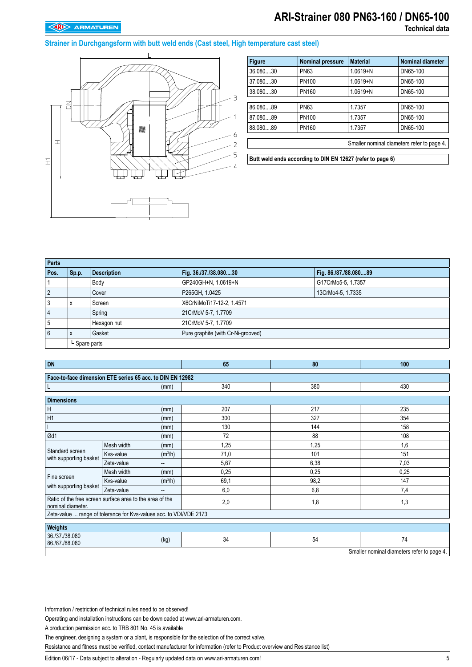# **ARI-Strainer 080 PN63-160 / DN65-100**

#### **Strainer in Durchgangsform with butt weld ends (Cast steel, High temperature cast steel)**



| <b>Figure</b>                                              | <b>Nominal pressure</b> | <b>Material</b> | Nominal diameter |  |  |
|------------------------------------------------------------|-------------------------|-----------------|------------------|--|--|
| 36.080.30                                                  | <b>PN63</b>             | $1.0619 + N$    | DN65-100         |  |  |
| 37.08030                                                   | <b>PN100</b>            | $1.0619 + N$    | DN65-100         |  |  |
| 38.08030                                                   | <b>PN160</b>            | $1.0619 + N$    | DN65-100         |  |  |
|                                                            |                         |                 |                  |  |  |
| 86.08089                                                   | <b>PN63</b>             | 1.7357          | DN65-100         |  |  |
| 87.080.89                                                  | PN100                   | 1.7357          | DN65-100         |  |  |
| 88.08089                                                   | <b>PN160</b>            | 1.7357          | DN65-100         |  |  |
|                                                            |                         |                 |                  |  |  |
| Smaller nominal diameters refer to page 4.                 |                         |                 |                  |  |  |
|                                                            |                         |                 |                  |  |  |
| Butt weld ends according to DIN EN 12627 (refer to page 6) |                         |                 |                  |  |  |

| Parts          |               |                    |                                    |                       |  |  |
|----------------|---------------|--------------------|------------------------------------|-----------------------|--|--|
| Pos.           | Sp.p.         | <b>Description</b> | Fig. 36./37./38.08030              | Fig. 86./87./88.08089 |  |  |
|                |               | Body               | GP240GH+N, 1.0619+N                | G17CrMo5-5, 1.7357    |  |  |
| $\overline{2}$ |               | Cover              | P265GH, 1.0425                     | 13CrMo4-5, 1.7335     |  |  |
| 3              | X             | Screen             | X6CrNiMoTi17-12-2, 1.4571          |                       |  |  |
| 4              |               | Spring             | 21CrMoV 5-7, 1.7709                |                       |  |  |
| 5              |               | Hexagon nut        | 21CrMoV 5-7, 1.7709                |                       |  |  |
| 6              | X             | Gasket             | Pure graphite (with Cr-Ni-grooved) |                       |  |  |
|                | L Spare parts |                    |                                    |                       |  |  |

| <b>DN</b>                                                                     |            |                     | 65   | 80   | 100  |  |  |  |  |
|-------------------------------------------------------------------------------|------------|---------------------|------|------|------|--|--|--|--|
| Face-to-face dimension ETE series 65 acc. to DIN EN 12982                     |            |                     |      |      |      |  |  |  |  |
| (mm)                                                                          |            |                     | 340  | 430  |      |  |  |  |  |
| <b>Dimensions</b>                                                             |            |                     |      |      |      |  |  |  |  |
| Н                                                                             |            | (mm)                | 207  | 217  | 235  |  |  |  |  |
| H1                                                                            |            | (mm)                | 300  | 327  |      |  |  |  |  |
|                                                                               |            | (mm)                | 130  | 144  | 158  |  |  |  |  |
| Ød1                                                                           |            | (mm)                | 72   | 88   | 108  |  |  |  |  |
|                                                                               | Mesh width | (mm)                | 1,25 | 1,25 | 1,6  |  |  |  |  |
| Standard screen<br>with supporting basket                                     | Kvs-value  | (m <sup>3</sup> /h) | 71,0 | 101  | 151  |  |  |  |  |
|                                                                               | Zeta-value | --                  | 5,67 | 6,38 | 7,03 |  |  |  |  |
| Fine screen<br>with supporting basket                                         | Mesh width | (mm)                | 0,25 | 0.25 | 0,25 |  |  |  |  |
|                                                                               | Kvs-value  | (m <sup>3</sup> /h) | 69,1 | 98,2 | 147  |  |  |  |  |
|                                                                               | Zeta-value | --                  | 6,0  | 6,8  | 7,4  |  |  |  |  |
| Ratio of the free screen surface area to the area of the<br>nominal diameter. |            |                     | 2,0  | 1,8  | 1,3  |  |  |  |  |
| Zeta-value  range of tolerance for Kvs-values acc. to VDI/VDE 2173            |            |                     |      |      |      |  |  |  |  |
| Weights                                                                       |            |                     |      |      |      |  |  |  |  |
| 36./37./38.080<br>86./87./88.080                                              |            | (kg)                | 34   | 54   | 74   |  |  |  |  |
| Smaller nominal diameters refer to page 4.                                    |            |                     |      |      |      |  |  |  |  |

Information / restriction of technical rules need to be observed!

Operating and installation instructions can be downloaded at www.ari-armaturen.com.

A production permission acc. to TRB 801 No. 45 is available

The engineer, designing a system or a plant, is responsible for the selection of the correct valve.

Resistance and fitness must be verified, contact manufacturer for information (refer to Product overview and Resistance list)

Edition 06/17 - Data subject to alteration - Regularly updated data on www.ari-armaturen.com!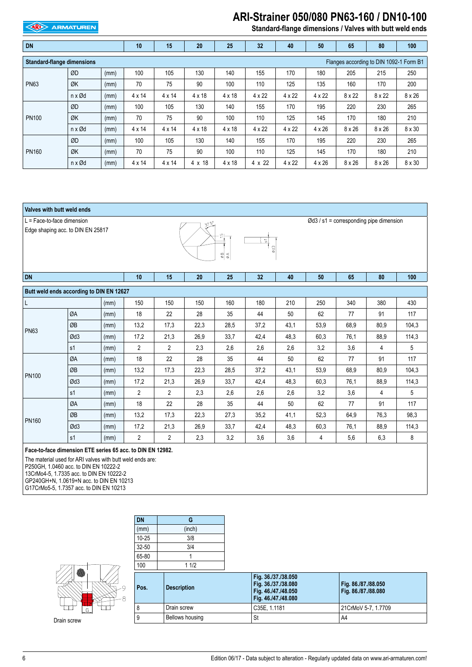#### **ARI** ARMATUREN

### **ARI-Strainer 050/080 PN63-160 / DN10-100**

**Standard-flange dimensions / Valves with butt weld ends**

| <b>DN</b>                                                                    |                          | 10   | 15            | 20            | 25            | 32            | 40            | 50            | 65            | 80            | 100           |               |
|------------------------------------------------------------------------------|--------------------------|------|---------------|---------------|---------------|---------------|---------------|---------------|---------------|---------------|---------------|---------------|
| <b>Standard-flange dimensions</b><br>Flanges according to DIN 1092-1 Form B1 |                          |      |               |               |               |               |               |               |               |               |               |               |
| <b>PN63</b>                                                                  | ØD                       | (mm) | 100           | 105           | 130           | 140           | 155           | 170           | 180           | 205           | 215           | 250           |
|                                                                              | ØK                       | (mm) | 70            | 75            | 90            | 100           | 110           | 125           | 135           | 160           | 170           | 200           |
|                                                                              | n x Ød                   | (mm) | $4 \times 14$ | $4 \times 14$ | $4 \times 18$ | $4 \times 18$ | $4 \times 22$ | $4 \times 22$ | $4 \times 22$ | $8 \times 22$ | $8 \times 22$ | $8 \times 26$ |
| <b>PN100</b>                                                                 | ØD                       | (mm) | 100           | 105           | 130           | 140           | 155           | 170           | 195           | 220           | 230           | 265           |
|                                                                              | ØK                       | (mm) | 70            | 75            | 90            | 100           | 110           | 125           | 145           | 170           | 180           | 210           |
|                                                                              | $n \times \emptyset$ d   | (mm) | $4 \times 14$ | $4 \times 14$ | $4 \times 18$ | $4 \times 18$ | $4 \times 22$ | $4 \times 22$ | $4 \times 26$ | $8 \times 26$ | $8 \times 26$ | $8 \times 30$ |
| <b>PN160</b>                                                                 | ØD                       | (mm) | 100           | 105           | 130           | 140           | 155           | 170           | 195           | 220           | 230           | 265           |
|                                                                              | ØK                       | (mm) | 70            | 75            | 90            | 100           | 110           | 125           | 145           | 170           | 180           | 210           |
|                                                                              | $n \times \varnothing d$ | (mm) | $4 \times 14$ | $4 \times 14$ | 4 x 18        | $4 \times 18$ | 4 x 22        | 4 x 22        | $4 \times 26$ | $8 \times 26$ | $8 \times 26$ | $8 \times 30$ |



13CrMo4-5, 1.7335 acc. to DIN EN 10222-2 GP240GH+N, 1.0619+N acc. to DIN EN 10213

G17CrMo5-5, 1.7357 acc. to DIN EN 10213

**DN G**



Drain screw

| (mm)      | (inch)             |                                                                                          |                                            |
|-----------|--------------------|------------------------------------------------------------------------------------------|--------------------------------------------|
| $10 - 25$ | 3/8                |                                                                                          |                                            |
| $32 - 50$ | 3/4                |                                                                                          |                                            |
| 65-80     |                    |                                                                                          |                                            |
| 100       | 11/2               |                                                                                          |                                            |
| Pos.      | <b>Description</b> | Fig. 36./37./38.050<br>Fig. 36./37./38.080<br>Fig. 46./47./48.050<br>Fig. 46./47./48.080 | Fig. 86./87./88.050<br>Fig. 86./87./88.080 |
| 8         | Drain screw        | C35E, 1.1181                                                                             | 21CrMoV 5-7, 1.7709                        |
| 9         | Bellows housing    | St                                                                                       | A4                                         |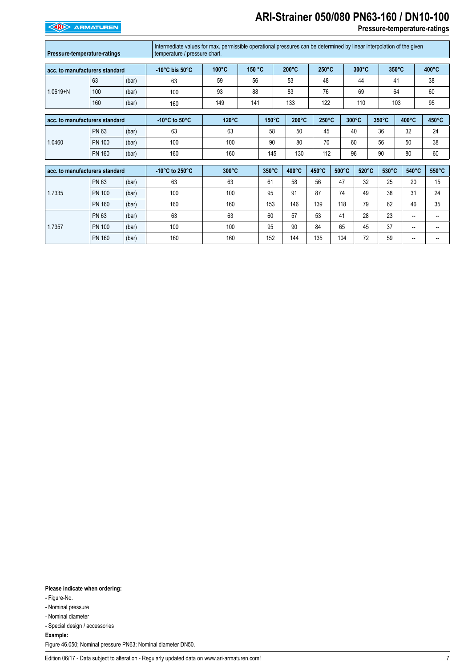# **ARI-Strainer 050/080 PN63-160 / DN10-100**

**EXAMPLE ARMATUREN** 

#### **Pressure-temperature-ratings**

| Pressure-temperature-ratings   |               | Intermediate values for max. permissible operational pressures can be determined by linear interpolation of the given<br>temperature / pressure chart. |                                    |                 |                 |                 |            |                 |                 |                 |       |                 |                          |
|--------------------------------|---------------|--------------------------------------------------------------------------------------------------------------------------------------------------------|------------------------------------|-----------------|-----------------|-----------------|------------|-----------------|-----------------|-----------------|-------|-----------------|--------------------------|
| acc. to manufacturers standard |               |                                                                                                                                                        | $-10^{\circ}$ C bis $50^{\circ}$ C | 100°C<br>150 °C |                 | $200^{\circ}$ C |            | $250^{\circ}$ C |                 | 300°C           |       | $350^{\circ}$ C | 400°C                    |
|                                | 63            | (bar)                                                                                                                                                  | 63                                 | 59<br>56        |                 |                 | 53         |                 | 48              |                 |       | 41              | 38                       |
| $1.0619 + N$                   | 100           | (bar)                                                                                                                                                  | 100                                | 93              | 88              |                 | 83         |                 | 76              | 69              |       | 64              | 60                       |
|                                | 160           | (bar)                                                                                                                                                  | 160                                | 149             | 141             |                 | 133<br>122 |                 |                 | 110             |       | 103             | 95                       |
| acc. to manufacturers standard |               | $-10^{\circ}$ C to $50^{\circ}$ C                                                                                                                      | $120^{\circ}$ C                    |                 | $150^{\circ}$ C | $200^{\circ}$ C |            | $250^{\circ}$ C | $300^{\circ}$ C | $350^{\circ}$ C | 400°C | 450°C           |                          |
| 1.0460                         | PN 63         | (bar)                                                                                                                                                  | 63                                 | 63              |                 | 58              | 50         | 45              |                 | 40              | 36    | 32              | 24                       |
|                                | <b>PN 100</b> | (bar)                                                                                                                                                  | 100                                | 100             |                 | 90              | 80         | 70              |                 | 60              | 56    | 50              | 38                       |
|                                | <b>PN 160</b> | (bar)                                                                                                                                                  | 160                                | 160             |                 | 145             | 130        | 112             |                 | 96              | 90    | 80              | 60                       |
| acc. to manufacturers standard |               | -10 $^{\circ}$ C to 250 $^{\circ}$ C                                                                                                                   | 300°C                              |                 | 350°C           | 400°C           | 450°C      | $500^{\circ}$ C | 520°C           | 530°C           | 540°C | 550°C           |                          |
|                                | PN 63         | (bar)                                                                                                                                                  | 63                                 | 63              |                 | 61              | 58         | 56              | 47              | 32              | 25    | 20              | 15                       |
| 1.7335                         | <b>PN 100</b> | (bar)                                                                                                                                                  | 100                                | 100             |                 | 95              | 91         | 87              | 74              | 49              | 38    | 31              | 24                       |
|                                | <b>PN 160</b> | (bar)                                                                                                                                                  | 160                                | 160             |                 | 153             | 146        | 139             | 118             | 79              | 62    | 46              | 35                       |
| 1.7357                         | <b>PN 63</b>  | (bar)                                                                                                                                                  | 63                                 | 63              |                 | 60              | 57         | 53              | 41              | 28              | 23    | --              | $\overline{\phantom{a}}$ |
|                                | <b>PN 100</b> | (bar)                                                                                                                                                  | 100                                | 100             |                 | 95              | 90         | 84              | 65              | 45              | 37    | --              | --                       |
|                                | <b>PN 160</b> | (bar)                                                                                                                                                  | 160                                | 160             |                 | 152             | 144        | 135             | 104             | 72              | 59    | --              |                          |

**Please indicate when ordering:**

- Figure-No.
- Nominal pressure
- Nominal diameter
- Special design / accessories

**Example:**

Figure 46.050; Nominal pressure PN63; Nominal diameter DN50.